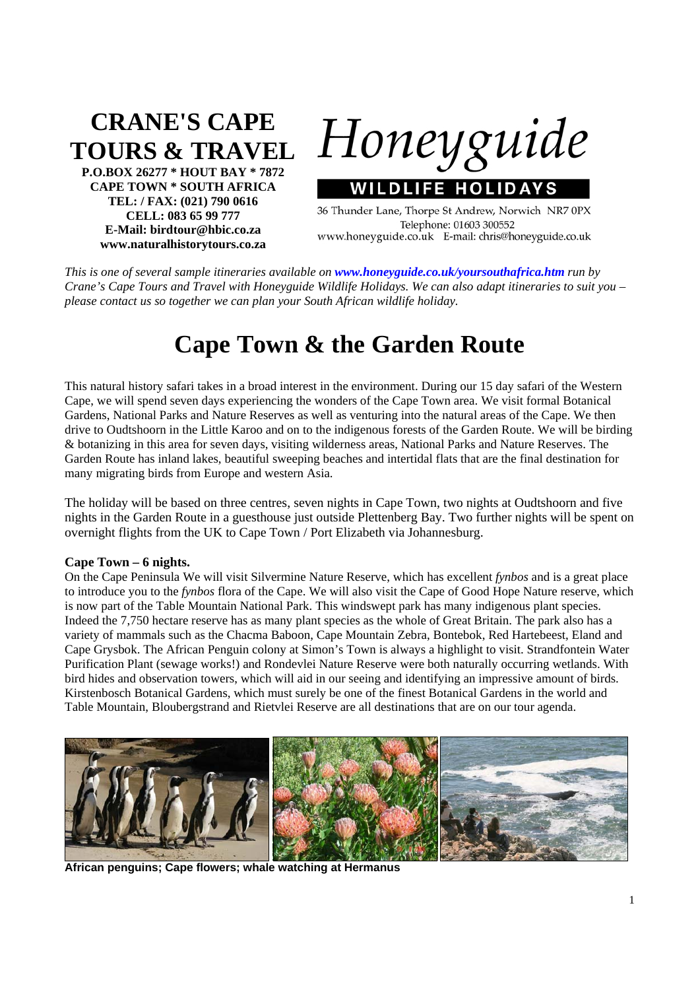# **CRANE'S CAPE TOURS & TRAVEL**

**P.O.BOX 26277 \* HOUT BAY \* 7872 CAPE TOWN \* SOUTH AFRICA TEL: / FAX: (021) 790 0616 CELL: 083 65 99 777 E-Mail: birdtour@hbic.co.za www.naturalhistorytours.co.za** 

Honeyguide

**WILDLIFE HOLIDAYS** 36 Thunder Lane, Thorpe St Andrew, Norwich NR7 0PX Telephone: 01603 300552

www.honeyguide.co.uk E-mail: chris@honeyguide.co.uk

*This is one of several sample itineraries available on www.honeyguide.co.uk/yoursouthafrica.htm run by Crane's Cape Tours and Travel with Honeyguide Wildlife Holidays. We can also adapt itineraries to suit you – please contact us so together we can plan your South African wildlife holiday.* 

## **Cape Town & the Garden Route**

This natural history safari takes in a broad interest in the environment. During our 15 day safari of the Western Cape, we will spend seven days experiencing the wonders of the Cape Town area. We visit formal Botanical Gardens, National Parks and Nature Reserves as well as venturing into the natural areas of the Cape. We then drive to Oudtshoorn in the Little Karoo and on to the indigenous forests of the Garden Route. We will be birding & botanizing in this area for seven days, visiting wilderness areas, National Parks and Nature Reserves. The Garden Route has inland lakes, beautiful sweeping beaches and intertidal flats that are the final destination for many migrating birds from Europe and western Asia.

The holiday will be based on three centres, seven nights in Cape Town, two nights at Oudtshoorn and five nights in the Garden Route in a guesthouse just outside Plettenberg Bay. Two further nights will be spent on overnight flights from the UK to Cape Town / Port Elizabeth via Johannesburg.

#### **Cape Town – 6 nights.**

On the Cape Peninsula We will visit Silvermine Nature Reserve, which has excellent *fynbos* and is a great place to introduce you to the *fynbos* flora of the Cape. We will also visit the Cape of Good Hope Nature reserve, which is now part of the Table Mountain National Park. This windswept park has many indigenous plant species. Indeed the 7,750 hectare reserve has as many plant species as the whole of Great Britain. The park also has a variety of mammals such as the Chacma Baboon, Cape Mountain Zebra, Bontebok, Red Hartebeest, Eland and Cape Grysbok. The African Penguin colony at Simon's Town is always a highlight to visit. Strandfontein Water Purification Plant (sewage works!) and Rondevlei Nature Reserve were both naturally occurring wetlands. With bird hides and observation towers, which will aid in our seeing and identifying an impressive amount of birds. Kirstenbosch Botanical Gardens, which must surely be one of the finest Botanical Gardens in the world and Table Mountain, Bloubergstrand and Rietvlei Reserve are all destinations that are on our tour agenda.



**African penguins; Cape flowers; whale watching at Hermanus**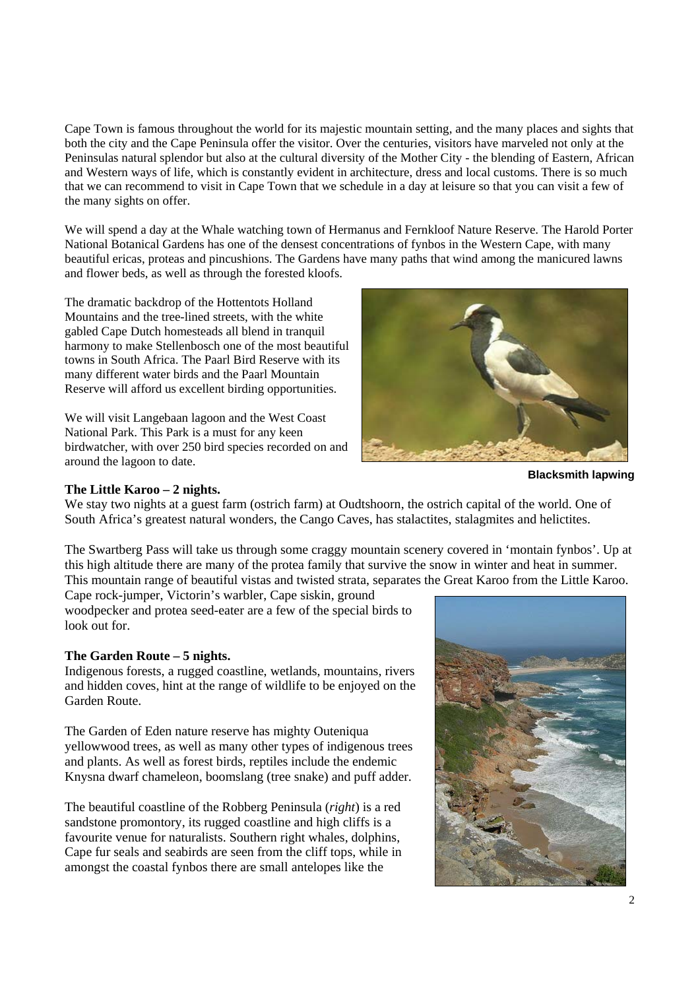Cape Town is famous throughout the world for its majestic mountain setting, and the many places and sights that both the city and the Cape Peninsula offer the visitor. Over the centuries, visitors have marveled not only at the Peninsulas natural splendor but also at the cultural diversity of the Mother City - the blending of Eastern, African and Western ways of life, which is constantly evident in architecture, dress and local customs. There is so much that we can recommend to visit in Cape Town that we schedule in a day at leisure so that you can visit a few of the many sights on offer.

We will spend a day at the Whale watching town of Hermanus and Fernkloof Nature Reserve. The Harold Porter National Botanical Gardens has one of the densest concentrations of fynbos in the Western Cape, with many beautiful ericas, proteas and pincushions. The Gardens have many paths that wind among the manicured lawns and flower beds, as well as through the forested kloofs.

The dramatic backdrop of the Hottentots Holland Mountains and the tree-lined streets, with the white gabled Cape Dutch homesteads all blend in tranquil harmony to make Stellenbosch one of the most beautiful towns in South Africa. The Paarl Bird Reserve with its many different water birds and the Paarl Mountain Reserve will afford us excellent birding opportunities.

We will visit Langebaan lagoon and the West Coast National Park. This Park is a must for any keen birdwatcher, with over 250 bird species recorded on and around the lagoon to date.



#### **The Little Karoo – 2 nights.**

**Blacksmith lapwing** 

We stay two nights at a guest farm (ostrich farm) at Oudtshoorn, the ostrich capital of the world. One of South Africa's greatest natural wonders, the Cango Caves, has stalactites, stalagmites and helictites.

The Swartberg Pass will take us through some craggy mountain scenery covered in 'montain fynbos'. Up at this high altitude there are many of the protea family that survive the snow in winter and heat in summer. This mountain range of beautiful vistas and twisted strata, separates the Great Karoo from the Little Karoo.

Cape rock-jumper, Victorin's warbler, Cape siskin, ground woodpecker and protea seed-eater are a few of the special birds to look out for.

### **The Garden Route – 5 nights.**

Indigenous forests, a rugged coastline, wetlands, mountains, rivers and hidden coves, hint at the range of wildlife to be enjoyed on the Garden Route.

The Garden of Eden nature reserve has mighty Outeniqua yellowwood trees, as well as many other types of indigenous trees and plants. As well as forest birds, reptiles include the endemic Knysna dwarf chameleon, boomslang (tree snake) and puff adder.

The beautiful coastline of the Robberg Peninsula (*right*) is a red sandstone promontory, its rugged coastline and high cliffs is a favourite venue for naturalists. Southern right whales, dolphins, Cape fur seals and seabirds are seen from the cliff tops, while in amongst the coastal fynbos there are small antelopes like the